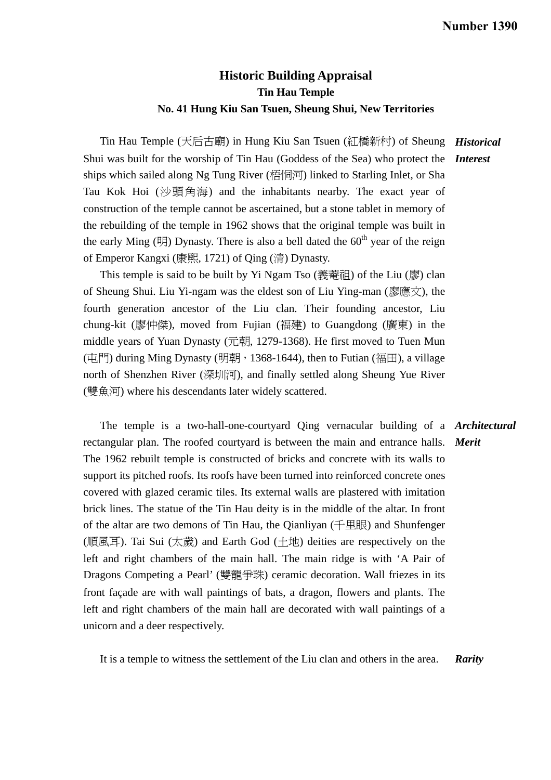## **Historic Building Appraisal Tin Hau Temple No. 41 Hung Kiu San Tsuen, Sheung Shui, New Territories**

 Tin Hau Temple (天后古廟) in Hung Kiu San Tsuen (紅橋新村) of Sheung *Historical*  Shui was built for the worship of Tin Hau (Goddess of the Sea) who protect the *Interest*  ships which sailed along Ng Tung River (梧恫河) linked to Starling Inlet, or Sha Tau Kok Hoi (沙頭角海) and the inhabitants nearby. The exact year of construction of the temple cannot be ascertained, but a stone tablet in memory of the rebuilding of the temple in 1962 shows that the original temple was built in the early Ming ( $\mathbb{H}$ ) Dynasty. There is also a bell dated the 60<sup>th</sup> year of the reign of Emperor Kangxi (康熙, 1721) of Qing (清) Dynasty.

This temple is said to be built by Yi Ngam Tso  $(\frac{1}{60}, \frac{1}{60})$  of the Liu  $(\frac{1}{60}, \frac{1}{60})$  clan of Sheung Shui. Liu Yi-ngam was the eldest son of Liu Ying-man (廖應文), the fourth generation ancestor of the Liu clan. Their founding ancestor, Liu chung-kit (廖仲傑), moved from Fujian (福建) to Guangdong (廣東) in the middle years of Yuan Dynasty (元朝, 1279-1368). He first moved to Tuen Mun (中門) during Ming Dynasty (明朝, 1368-1644), then to Futian (福田), a village north of Shenzhen River (深圳河), and finally settled along Sheung Yue River (雙魚河) where his descendants later widely scattered.

 The temple is a two-hall-one-courtyard Qing vernacular building of a *Architectural*  rectangular plan. The roofed courtyard is between the main and entrance halls. *Merit*  The 1962 rebuilt temple is constructed of bricks and concrete with its walls to support its pitched roofs. Its roofs have been turned into reinforced concrete ones covered with glazed ceramic tiles. Its external walls are plastered with imitation brick lines. The statue of the Tin Hau deity is in the middle of the altar. In front of the altar are two demons of Tin Hau, the Qianliyan (千里眼) and Shunfenger (順風耳). Tai Sui (太歲) and Earth God (土地) deities are respectively on the left and right chambers of the main hall. The main ridge is with 'A Pair of Dragons Competing a Pearl' (雙龍爭珠) ceramic decoration. Wall friezes in its front façade are with wall paintings of bats, a dragon, flowers and plants. The left and right chambers of the main hall are decorated with wall paintings of a unicorn and a deer respectively.

It is a temple to witness the settlement of the Liu clan and others in the area. *Rarity*